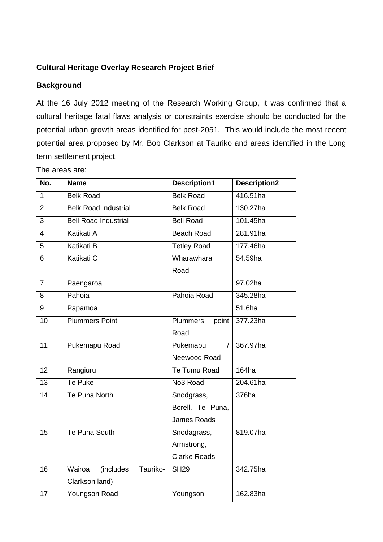# **Cultural Heritage Overlay Research Project Brief**

### **Background**

At the 16 July 2012 meeting of the Research Working Group, it was confirmed that a cultural heritage fatal flaws analysis or constraints exercise should be conducted for the potential urban growth areas identified for post-2051. This would include the most recent potential area proposed by Mr. Bob Clarkson at Tauriko and areas identified in the Long term settlement project.

The areas are:

| No.             | <b>Name</b>                      | <b>Description1</b>      | <b>Description2</b> |
|-----------------|----------------------------------|--------------------------|---------------------|
| $\mathbf{1}$    | <b>Belk Road</b>                 | <b>Belk Road</b>         | 416.51ha            |
| $\overline{2}$  | <b>Belk Road Industrial</b>      | <b>Belk Road</b>         | 130.27ha            |
| 3               | <b>Bell Road Industrial</b>      | <b>Bell Road</b>         | 101.45ha            |
| $\overline{4}$  | Katikati A                       | <b>Beach Road</b>        | 281.91ha            |
| 5               | <b>Katikati B</b>                | <b>Tetley Road</b>       | 177.46ha            |
| 6               | Katikati C                       | Wharawhara               | 54.59ha             |
|                 |                                  | Road                     |                     |
| $\overline{7}$  | Paengaroa                        |                          | 97.02ha             |
| 8               | Pahoia                           | Pahoia Road              | 345.28ha            |
| 9               | Papamoa                          |                          | 51.6ha              |
| $\overline{10}$ | <b>Plummers Point</b>            | <b>Plummers</b><br>point | 377.23ha            |
|                 |                                  | Road                     |                     |
| $\overline{11}$ | Pukemapu Road                    | Pukemapu                 | 367.97ha            |
|                 |                                  | Neewood Road             |                     |
| 12              | Rangiuru                         | Te Tumu Road             | 164ha               |
| 13              | Te Puke                          | No3 Road                 | 204.61ha            |
| 14              | Te Puna North                    | Snodgrass,               | 376ha               |
|                 |                                  | Borell, Te Puna,         |                     |
|                 |                                  | <b>James Roads</b>       |                     |
| 15              | Te Puna South                    | Snodagrass,              | 819.07ha            |
|                 |                                  | Armstrong,               |                     |
|                 |                                  | <b>Clarke Roads</b>      |                     |
| 16              | (includes)<br>Wairoa<br>Tauriko- | <b>SH29</b>              | 342.75ha            |
|                 | Clarkson land)                   |                          |                     |
| 17              | Youngson Road                    | Youngson                 | 162.83ha            |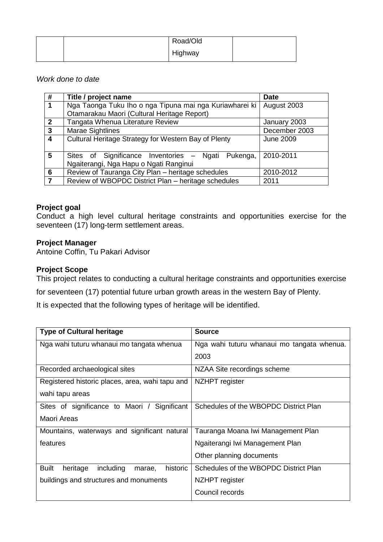|  | Road/Old |  |
|--|----------|--|
|  | Highway  |  |

#### *Work done to date*

| #              | Title / project name                                    | <b>Date</b>      |
|----------------|---------------------------------------------------------|------------------|
| $\mathbf 1$    | Nga Taonga Tuku Iho o nga Tipuna mai nga Kuriawharei ki | August 2003      |
|                | Otamarakau Maori (Cultural Heritage Report)             |                  |
| $\overline{2}$ | Tangata Whenua Literature Review                        | January 2003     |
| $\mathbf{3}$   | <b>Marae Sightlines</b>                                 | December 2003    |
| $\overline{4}$ | Cultural Heritage Strategy for Western Bay of Plenty    | <b>June 2009</b> |
|                |                                                         |                  |
| $5\phantom{1}$ | Sites of Significance Inventories - Ngati Pukenga,      | 2010-2011        |
|                | Ngaiterangi, Nga Hapu o Ngati Ranginui                  |                  |
| 6              | Review of Tauranga City Plan - heritage schedules       | 2010-2012        |
| 7              | Review of WBOPDC District Plan - heritage schedules     | 2011             |

### **Project goal**

Conduct a high level cultural heritage constraints and opportunities exercise for the seventeen (17) long-term settlement areas.

### **Project Manager**

Antoine Coffin, Tu Pakari Advisor

## **Project Scope**

This project relates to conducting a cultural heritage constraints and opportunities exercise

for seventeen (17) potential future urban growth areas in the western Bay of Plenty.

It is expected that the following types of heritage will be identified.

| <b>Type of Cultural heritage</b>                            | <b>Source</b>                              |  |
|-------------------------------------------------------------|--------------------------------------------|--|
| Nga wahi tuturu whanaui mo tangata whenua                   | Nga wahi tuturu whanaui mo tangata whenua. |  |
|                                                             | 2003                                       |  |
| Recorded archaeological sites                               | NZAA Site recordings scheme                |  |
| Registered historic places, area, wahi tapu and             | NZHPT register                             |  |
| wahi tapu areas                                             |                                            |  |
| Sites of significance to Maori / Significant                | Schedules of the WBOPDC District Plan      |  |
| Maori Areas                                                 |                                            |  |
| Mountains, waterways and significant natural                | Tauranga Moana Iwi Management Plan         |  |
| features                                                    | Ngaiterangi Iwi Management Plan            |  |
|                                                             | Other planning documents                   |  |
| <b>Built</b><br>historic<br>including<br>heritage<br>marae, | Schedules of the WBOPDC District Plan      |  |
| buildings and structures and monuments                      | NZHPT register                             |  |
|                                                             | Council records                            |  |